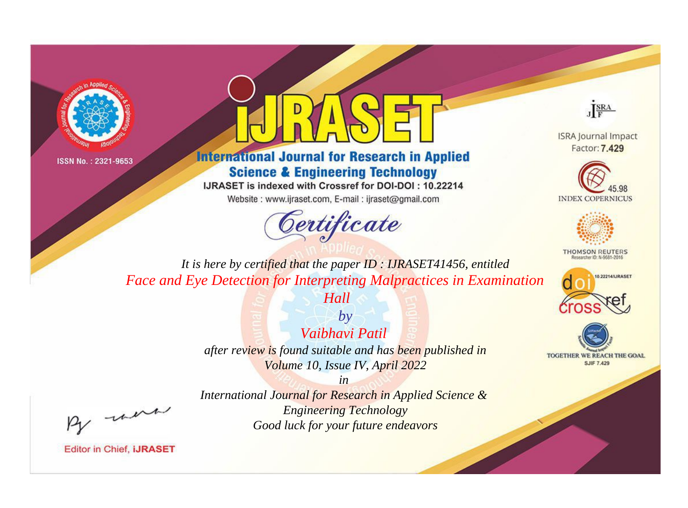



## **International Journal for Research in Applied Science & Engineering Technology**

IJRASET is indexed with Crossref for DOI-DOI: 10.22214

Website: www.ijraset.com, E-mail: ijraset@gmail.com



JERA

**ISRA Journal Impact** Factor: 7.429





**THOMSON REUTERS** 



TOGETHER WE REACH THE GOAL **SJIF 7.429** 

It is here by certified that the paper ID: IJRASET41456, entitled Face and Eye Detection for Interpreting Malpractices in Examination

Hall

 $b\nu$ Vaibhavi Patil after review is found suitable and has been published in Volume 10, Issue IV, April 2022

were

International Journal for Research in Applied Science & **Engineering Technology** Good luck for your future endeavors

 $in$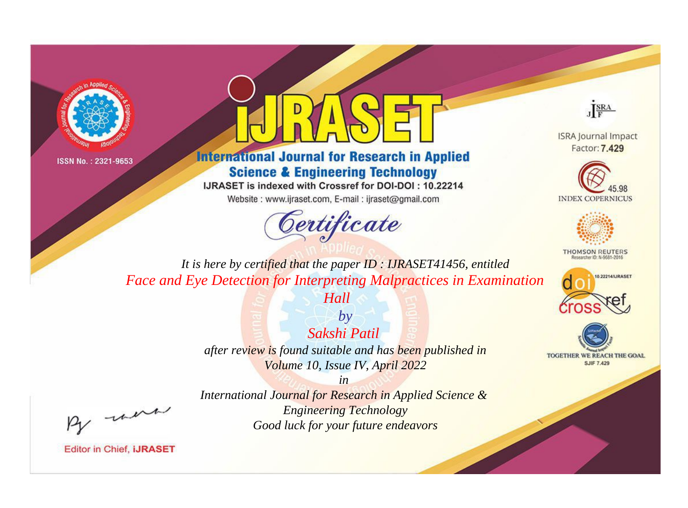



**International Journal for Research in Applied Science & Engineering Technology** 

IJRASET is indexed with Crossref for DOI-DOI: 10.22214

Website: www.ijraset.com, E-mail: ijraset@gmail.com



JERA

**ISRA Journal Impact** Factor: 7.429





**THOMSON REUTERS** 



TOGETHER WE REACH THE GOAL **SJIF 7.429** 

It is here by certified that the paper ID: IJRASET41456, entitled Face and Eye Detection for Interpreting Malpractices in Examination

Hall

 $b\nu$ Sakshi Patil after review is found suitable and has been published in Volume 10, Issue IV, April 2022

were

International Journal for Research in Applied Science & **Engineering Technology** Good luck for your future endeavors

 $in$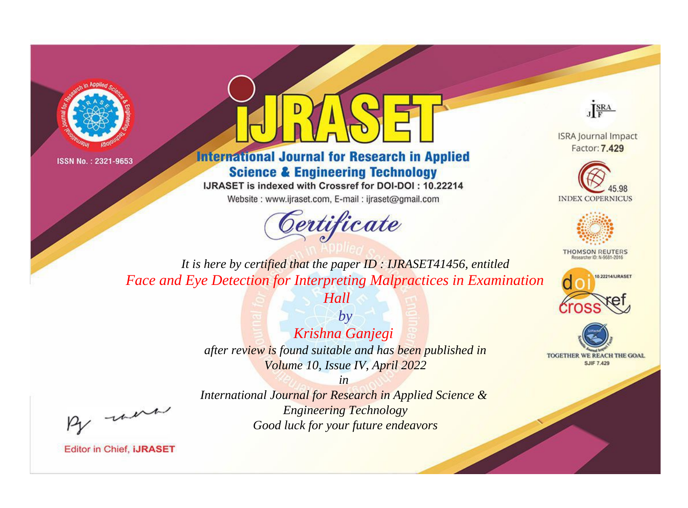



**International Journal for Research in Applied Science & Engineering Technology** 

IJRASET is indexed with Crossref for DOI-DOI: 10.22214

Website: www.ijraset.com, E-mail: ijraset@gmail.com





**ISRA Journal Impact** Factor: 7.429





**THOMSON REUTERS** 



TOGETHER WE REACH THE GOAL **SJIF 7.429** 

*It is here by certified that the paper ID : IJRASET41456, entitled Face and Eye Detection for Interpreting Malpractices in Examination* 

*Hall*

*by Krishna Ganjegi after review is found suitable and has been published in Volume 10, Issue IV, April 2022*

, un

*International Journal for Research in Applied Science & Engineering Technology Good luck for your future endeavors*

*in*